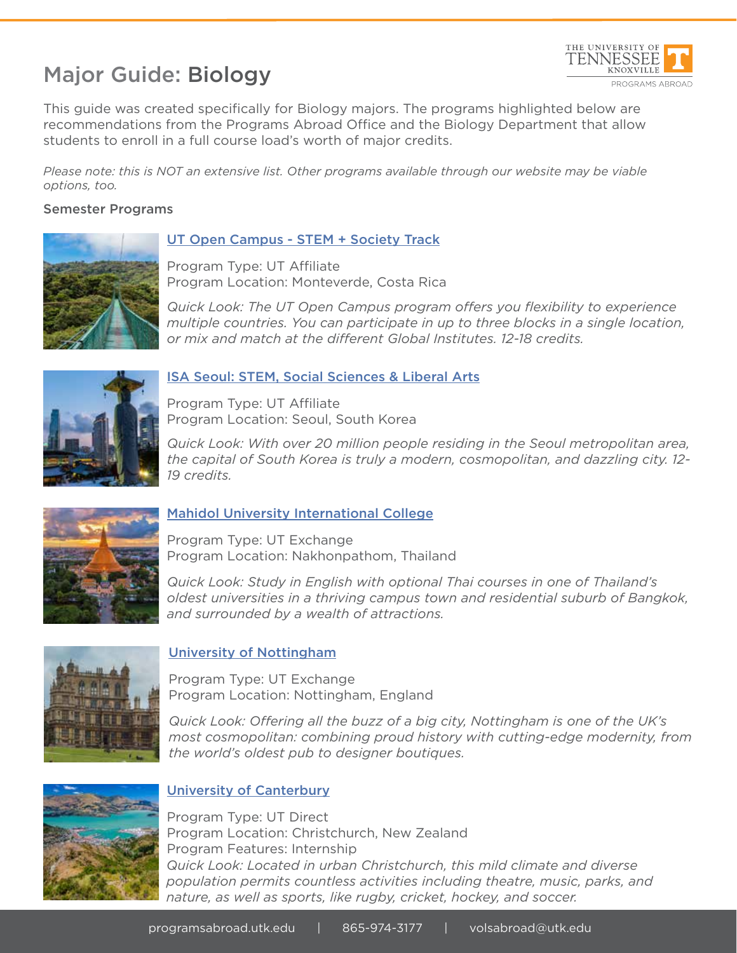# Major Guide: Biology



This guide was created specifically for Biology majors. The programs highlighted below are recommendations from the Programs Abroad Office and the Biology Department that allow students to enroll in a full course load's worth of major credits.

*Please note: this is NOT an extensive list. Other programs available through our website may be viable options, too.*

#### Semester Programs



## UT Open Campus - STEM + Society Track

Program Type: UT Affiliate Program Location: Monteverde, Costa Rica

*Quick Look: The UT Open Campus program offers you flexibility to experience multiple countries. You can participate in up to three blocks in a single location, or mix and match at the different Global Institutes. 12-18 credits.*



## ISA Seoul: STEM, Social Sciences & Liberal Arts

Program Type: UT Affiliate Program Location: Seoul, South Korea

*Quick Look: With over 20 million people residing in the Seoul metropolitan area, the capital of South Korea is truly a modern, cosmopolitan, and dazzling city. 12- 19 credits.*



## Mahidol University International College

Program Type: UT Exchange Program Location: Nakhonpathom, Thailand

*Quick Look: Study in English with optional Thai courses in one of Thailand's oldest universities in a thriving campus town and residential suburb of Bangkok, and surrounded by a wealth of attractions.* 



## University of Nottingham

Program Type: UT Exchange Program Location: Nottingham, England

*Quick Look: Offering all the buzz of a big city, Nottingham is one of the UK's most cosmopolitan: combining proud history with cutting-edge modernity, from the world's oldest pub to designer boutiques.* 



## University of Canterbury

Program Type: UT Direct Program Location: Christchurch, New Zealand Program Features: Internship *Quick Look: Located in urban Christchurch, this mild climate and diverse population permits countless activities including theatre, music, parks, and nature, as well as sports, like rugby, cricket, hockey, and soccer.*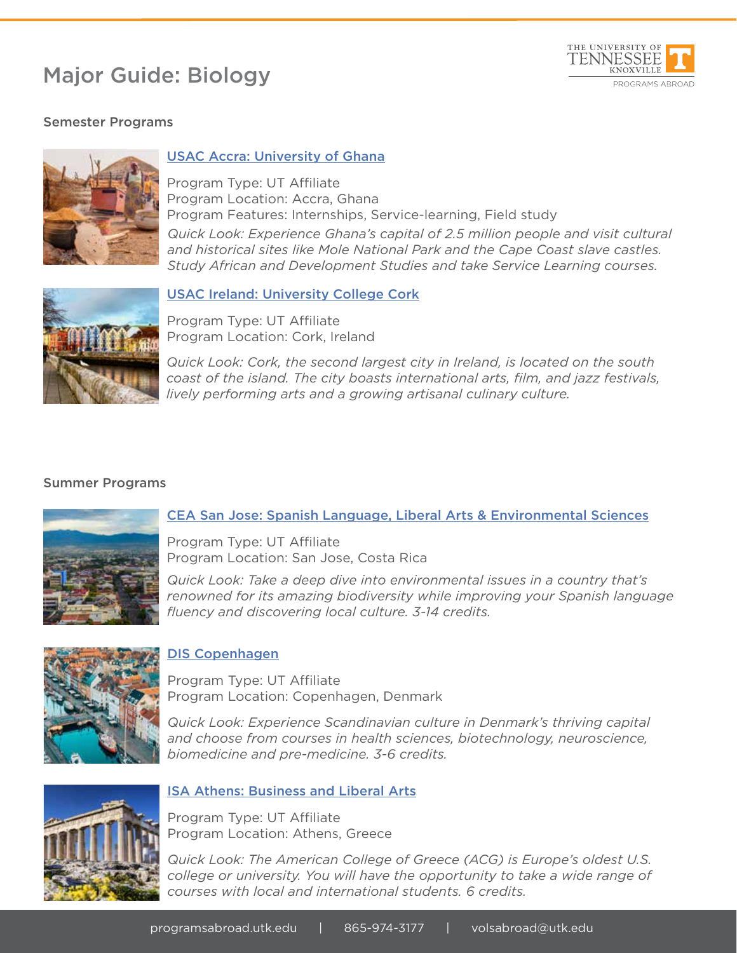# Major Guide: Biology



## Semester Programs



## USAC Accra: University of Ghana

Program Type: UT Affiliate Program Location: Accra, Ghana Program Features: Internships, Service-learning, Field study *Quick Look: Experience Ghana's capital of 2.5 million people and visit cultural and historical sites like Mole National Park and the Cape Coast slave castles. Study African and Development Studies and take Service Learning courses.*



## USAC Ireland: University College Cork

Program Type: UT Affiliate Program Location: Cork, Ireland

*Quick Look: Cork, the second largest city in Ireland, is located on the south coast of the island. The city boasts international arts, film, and jazz festivals, lively performing arts and a growing artisanal culinary culture.*

#### Summer Programs



## CEA San Jose: Spanish Language, Liberal Arts & Environmental Sciences

Program Type: UT Affiliate Program Location: San Jose, Costa Rica

*Quick Look: Take a deep dive into environmental issues in a country that's renowned for its amazing biodiversity while improving your Spanish language fluency and discovering local culture. 3-14 credits.*



## DIS Copenhagen

Program Type: UT Affiliate Program Location: Copenhagen, Denmark

*Quick Look: Experience Scandinavian culture in Denmark's thriving capital and choose from courses in health sciences, biotechnology, neuroscience, biomedicine and pre-medicine. 3-6 credits.* 



#### ISA Athens: Business and Liberal Arts

Program Type: UT Affiliate Program Location: Athens, Greece

*Quick Look: The American College of Greece (ACG) is Europe's oldest U.S. college or university. You will have the opportunity to take a wide range of courses with local and international students. 6 credits.*